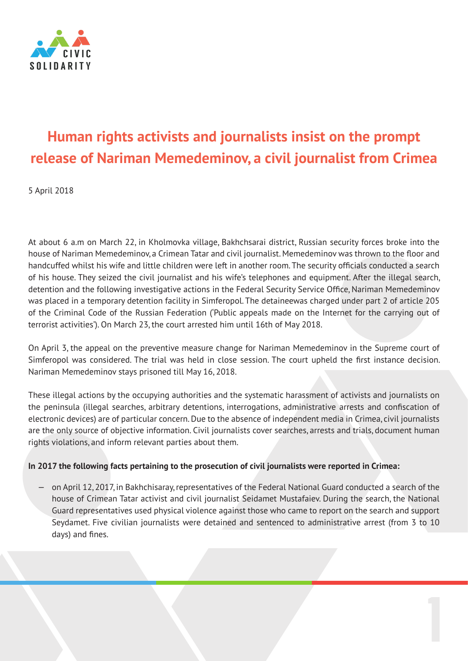

# **Human rights activists and journalists insist on the prompt release of Nariman Memedeminov, a civil journalist from Crimea**

5 April 2018

At about 6 a.m on March 22, in Kholmovka village, Bakhchsarai district, Russian security forces broke into the house of Nariman Memedeminov, a Crimean Tatar and civil journalist. Memedeminov was thrown to the floor and handcuffed whilst his wife and little children were left in another room. The security officials conducted a search of his house. They seized the civil journalist and his wife's telephones and equipment. After the illegal search, detention and the following investigative actions in the Federal Security Service Office, Nariman Memedeminov was placed in a temporary detention facility in Simferopol. The detaineewas charged under part 2 of article 205 of the Criminal Code of the Russian Federation ('Public appeals made on the Internet for the carrying out of terrorist activities'). On March 23, the court arrested him until 16th of May 2018.

On April 3, the appeal on the preventive measure change for Nariman Memedeminov in the Supreme court of Simferopol was considered. The trial was held in close session. The court upheld the first instance decision. Nariman Memedeminov stays prisoned till May 16, 2018.

These illegal actions by the occupying authorities and the systematic harassment of activists and journalists on the peninsula (illegal searches, arbitrary detentions, interrogations, administrative arrests and confiscation of electronic devices) are of particular concern. Due to the absence of independent media in Crimea, civil journalists are the only source of objective information. Civil journalists cover searches, arrests and trials, document human rights violations, and inform relevant parties about them.

# **In 2017 the following facts pertaining to the prosecution of civil journalists were reported in Crimea:**

— on April 12, 2017, in Bakhchisaray, representatives of the Federal National Guard conducted a search of the house of Crimean Tatar activist and civil journalist Seidamet Mustafaiev. During the search, the National Guard representatives used physical violence against those who came to report on the search and support Seydamet. Five civilian journalists were detained and sentenced to administrative arrest (from 3 to 10 days) and fines.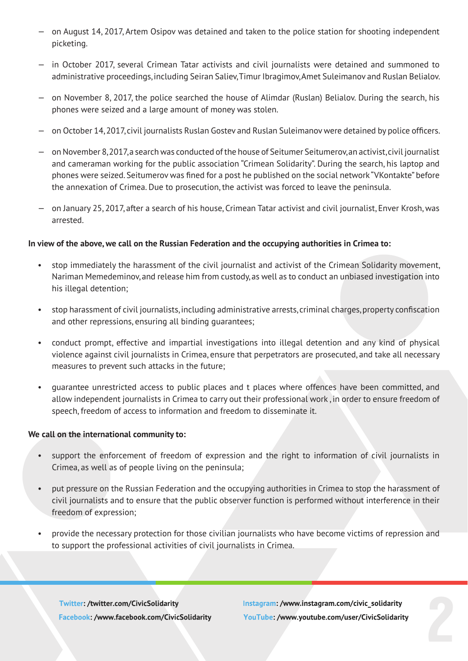- on August 14, 2017, Artem Osipov was detained and taken to the police station for shooting independent picketing.
- in October 2017, several Crimean Tatar activists and civil journalists were detained and summoned to administrative proceedings, including Seiran Saliev, Timur Ibragimov, Amet Suleimanov and Ruslan Belialov.
- on November 8, 2017, the police searched the house of Alimdar (Ruslan) Belialov. During the search, his phones were seized and a large amount of money was stolen.
- on October 14, 2017, civil journalists Ruslan Gostev and Ruslan Suleimanov were detained by police officers.
- on November 8, 2017, a search was conducted of the house of Seitumer Seitumerov, an activist, civil journalist and cameraman working for the public association "Crimean Solidarity". During the search, his laptop and phones were seized. Seitumerov was fined for a post he published on the social network "VKontakte" before the annexation of Crimea. Due to prosecution, the activist was forced to leave the peninsula.
- on January 25, 2017, after a search of his house, Crimean Tatar activist and civil journalist, Enver Krosh, was arrested.

### **In view of the above, we call on the Russian Federation and the occupying authorities in Crimea to:**

- stop immediately the harassment of the civil journalist and activist of the Crimean Solidarity movement, Nariman Memedeminov, and release him from custody, as well as to conduct an unbiased investigation into his illegal detention;
- stop harassment of civil journalists, including administrative arrests, criminal charges, property confiscation and other repressions, ensuring all binding guarantees;
- conduct prompt, effective and impartial investigations into illegal detention and any kind of physical violence against civil journalists in Crimea, ensure that perpetrators are prosecuted, and take all necessary measures to prevent such attacks in the future;
- guarantee unrestricted access to public places and t places where offences have been committed, and allow independent journalists in Crimea to carry out their professional work , in order to ensure freedom of speech, freedom of access to information and freedom to disseminate it.

#### **We call on the international community to:**

- support the enforcement of freedom of expression and the right to information of civil journalists in Crimea, as well as of people living on the peninsula;
- put pressure on the Russian Federation and the occupying authorities in Crimea to stop the harassment of civil journalists and to ensure that the public observer function is performed without interference in their freedom of expression;
- provide the necessary protection for those civilian journalists who have become victims of repression and to support the professional activities of civil journalists in Crimea.

Twitter: /twitter.com/CivicSolidarity Facebook: /www.facebook.com/CivicSolidarity

Instagram: /www.instagram.com/civic\_solidarity YouTube: /www.youtube.com/user/CivicSolidarity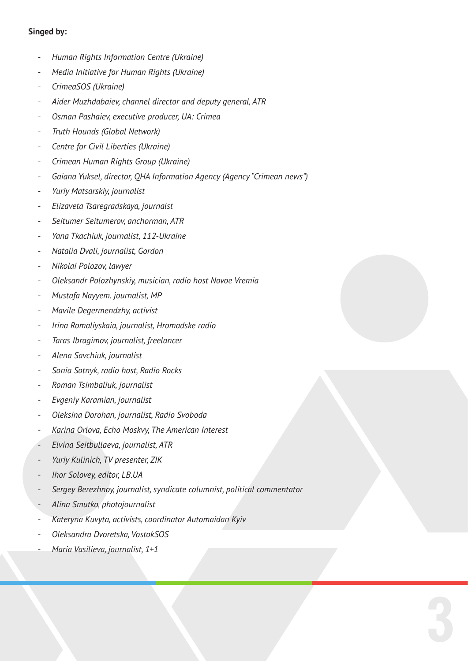# **Singed by:**

- *- Human Rights Information Centre (Ukraine)*
- *- Media Initiative for Human Rights (Ukraine)*
- *- CrimeaSOS (Ukraine)*
- *- Aider Muzhdabaiev, channel director and deputy general, ATR*
- *- Osman Pashaiev, executive producer, UA: Crimea*
- *- Truth Hounds (Global Network)*
- *- Centre for Civil Liberties (Ukraine)*
- *- Crimean Human Rights Group (Ukraine)*
- *- Gaiana Yuksel, director, QHA Information Agency (Agency "Crimean news")*
- *- Yuriy Matsarskiy, journalist*
- *- Elizaveta Tsaregradskaya, journalst*
- *- Seitumer Seitumerov, anchorman, ATR*
- *- Yana Tkachiuk, journalist, 112-Ukraine*
- *- Natalia Dvali, journalist, Gordon*
- *- Nikolai Polozov, lawyer*
- *- Oleksandr Polozhynskiy, musician, radio host Novoe Vremia*
- *- Mustafa Nayyem. journalist, MP*
- *- Mavile Degermendzhy, activist*
- *- Irina Romaliyskaia, journalist, Hromadske radio*
- *- Taras Ibragimov, journalist, freelancer*
- *- Alena Savchiuk, journalist*
- *- Sonia Sotnyk, radio host, Radio Rocks*
- *- Roman Tsimbaliuk, journalist*
- *- Evgeniy Karamian, journalist*
- *- Oleksina Dorohan, journalist, Radio Svoboda*
- *- Karina Orlova, Echo Moskvy, The American Interest*
- *- Elvina Seitbullaeva, journalist, ATR*
- *- Yuriy Kulinich, TV presenter, ZIK*
- *- Ihor Solovey, editor, LB.UA*
- *- Sergey Berezhnoy, journalist, syndicate columnist, political commentator*

- *- Alina Smutko, photojournalist*
- *- Kateryna Kuvyta, activists, coordinator Automaidan Kyiv*
- *- Oleksandra Dvoretska, VostokSOS*
- *- Maria Vasilieva, journalist, 1+1*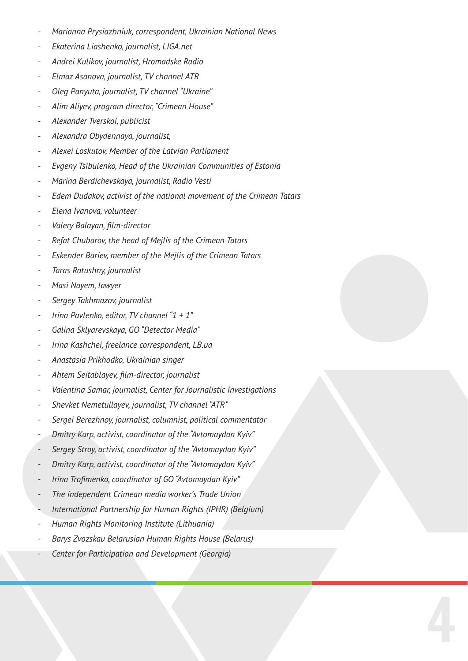- *- Marianna Prysiazhniuk, correspondent, Ukrainian National News*
- *- Ekaterina Liashenko, journalist, LIGA.net*
- *- Andrei Kulikov, journalist, Hromadske Radio*
- *- Elmaz Asanova, journalist, TV channel АТR*
- *- Oleg Panyuta, journalist, TV channel "Ukraine"*
- *- Alim Aliyev, program director, "Crimean House"*
- *- Alexander Tverskoi, publicist*
- *- Alexandra Obydennaya, journalist,*
- *- Alexei Loskutov, Member of the Latvian Parliament*
- *- Evgeny Tsibulenko, Head of the Ukrainian Communities of Estonia*
- *- Marina Berdichevskaya, journalist, Radio Vesti*
- *- Edem Dudakov, activist of the national movement of the Crimean Tatars*
- *- Elena Ivanova, volunteer*
- *- Valery Balayan, film-director*
- *- Refat Chubarov, the head of Mejlis of the Crimean Tatars*
- *- Eskender Bariev, member of the Mejlis of the Crimean Tatars*
- *- Taras Ratushny, journalist*
- *- Masi Nayem, lawyer*
- *- Sergey Takhmazov, journalist*
- *- Irina Pavlenko, editor, TV channel "1 + 1"*
- *- Galina Sklyarevskaya, GO "Detector Media"*
- *- Irina Kashchei, freelance correspondent, LB.ua*
- *- Anastasia Prikhodko, Ukrainian singer*
- *- Ahtem Seitablayev, film-director, journalist*
- *- Valentina Samar, journalist, Center for Journalistic Investigations*
- *- Shevket Nemetullayev, journalist, TV channel "ATR"*
- *- Sergei Berezhnoy, journalist, columnist, political commentator*
- *- Dmitry Karp, activist, coordinator of the "Avtomaydan Kyiv"*
- *- Sergey Stroy, activist, coordinator of the "Avtomaydan Kyiv"*
- *- Dmitry Karp, activist, coordinator of the "Avtomaydan Kyiv"*
- *- Irina Trofimenko, coordinator of GO "Avtomaydan Kyiv"*
- *- The independent Crimean media worker's Trade Union*
- *- International Partnership for Human Rights (IPHR) (Belgium)*

- *- Human Rights Monitoring Institute (Lithuania)*
- *- Barys Zvozskau Belarusian Human Rights House (Belarus)*
- *- Center for Participation and Development (Georgia)*